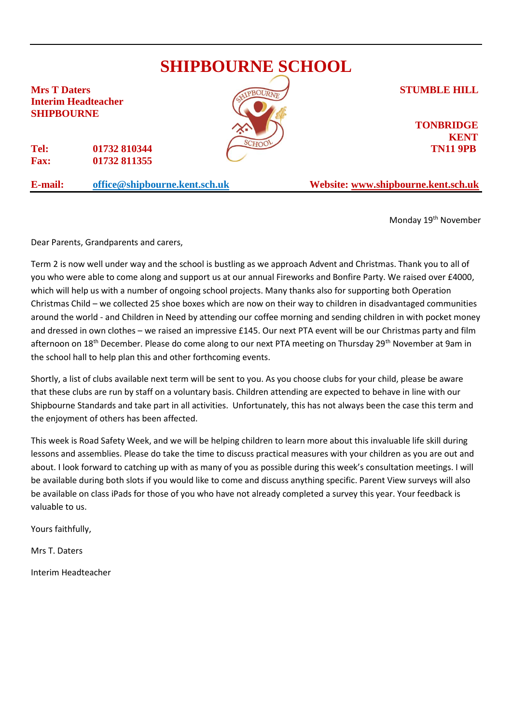## **SHIPBOURNE SCHOOL Mrs T Daters STUMBLE HILL Interim Headteacher SHIPBOURNE TONBRIDGE KENT Tel: 01732 810344 TN11 9PB Fax: 01732 811355 E-mail: [office@shipbourne.kent.sch.uk](mailto:office@shipbourne.kent.sch.uk) Website: [www.shipbourne.kent.sch.uk](http://www.shipbourne.kent.sch.uk/)**

Monday 19<sup>th</sup> November

Dear Parents, Grandparents and carers,

Term 2 is now well under way and the school is bustling as we approach Advent and Christmas. Thank you to all of you who were able to come along and support us at our annual Fireworks and Bonfire Party. We raised over £4000, which will help us with a number of ongoing school projects. Many thanks also for supporting both Operation Christmas Child – we collected 25 shoe boxes which are now on their way to children in disadvantaged communities around the world - and Children in Need by attending our coffee morning and sending children in with pocket money and dressed in own clothes – we raised an impressive £145. Our next PTA event will be our Christmas party and film afternoon on 18<sup>th</sup> December. Please do come along to our next PTA meeting on Thursday 29<sup>th</sup> November at 9am in the school hall to help plan this and other forthcoming events.

Shortly, a list of clubs available next term will be sent to you. As you choose clubs for your child, please be aware that these clubs are run by staff on a voluntary basis. Children attending are expected to behave in line with our Shipbourne Standards and take part in all activities. Unfortunately, this has not always been the case this term and the enjoyment of others has been affected.

This week is Road Safety Week, and we will be helping children to learn more about this invaluable life skill during lessons and assemblies. Please do take the time to discuss practical measures with your children as you are out and about. I look forward to catching up with as many of you as possible during this week's consultation meetings. I will be available during both slots if you would like to come and discuss anything specific. Parent View surveys will also be available on class iPads for those of you who have not already completed a survey this year. Your feedback is valuable to us.

Yours faithfully,

Mrs T. Daters

Interim Headteacher